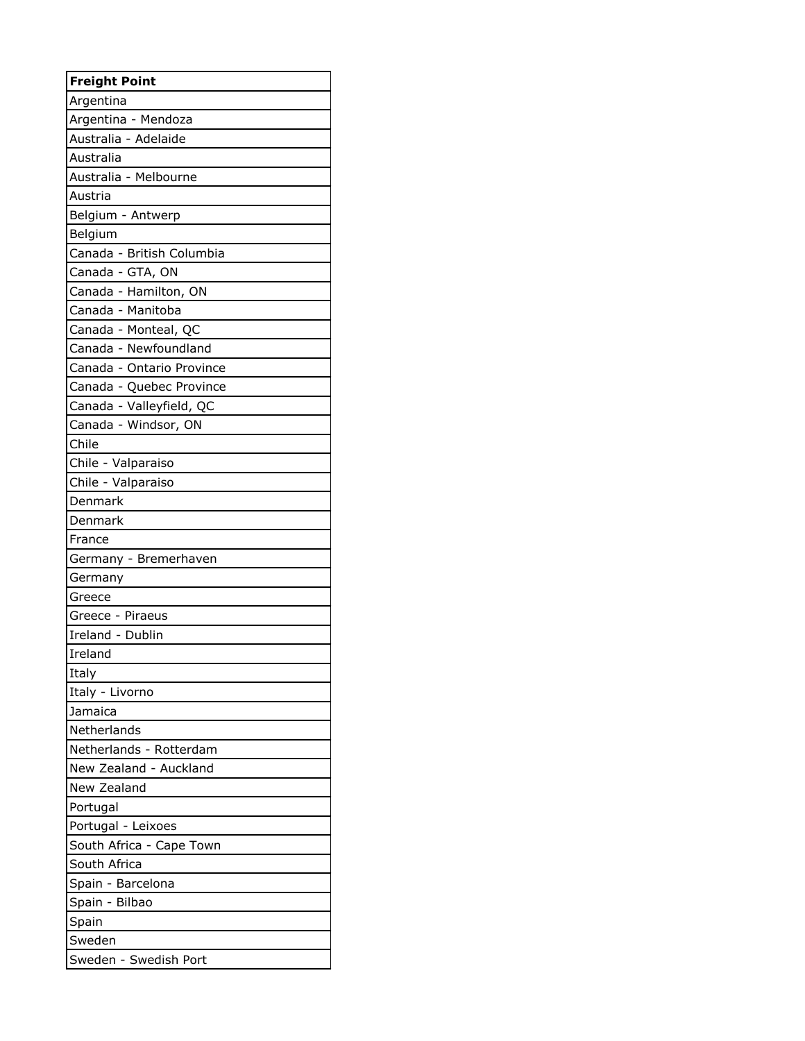| <b>Freight Point</b>      |
|---------------------------|
| Argentina                 |
| Argentina - Mendoza       |
| Australia - Adelaide      |
| Australia                 |
| Australia - Melbourne     |
| Austria                   |
| Belgium - Antwerp         |
| Belgium                   |
| Canada - British Columbia |
| Canada - GTA, ON          |
| Canada - Hamilton, ON     |
| Canada - Manitoba         |
| Canada - Monteal, QC      |
| Canada - Newfoundland     |
| Canada - Ontario Province |
| Canada - Quebec Province  |
| Canada - Valleyfield, QC  |
| Canada - Windsor, ON      |
| Chile                     |
| Chile - Valparaiso        |
| Chile - Valparaiso        |
| Denmark                   |
| Denmark                   |
| France                    |
| Germany - Bremerhaven     |
| Germany                   |
| Greece                    |
| Greece - Piraeus          |
| Ireland - Dublin          |
| Ireland                   |
| Italy                     |
| Italy - Livorno           |
| Jamaica                   |
| Netherlands               |
| Netherlands - Rotterdam   |
| New Zealand - Auckland    |
| New Zealand               |
| Portugal                  |
| Portugal - Leixoes        |
| South Africa - Cape Town  |
| South Africa              |
| Spain - Barcelona         |
| Spain - Bilbao            |
| Spain                     |
| Sweden                    |
| Sweden - Swedish Port     |